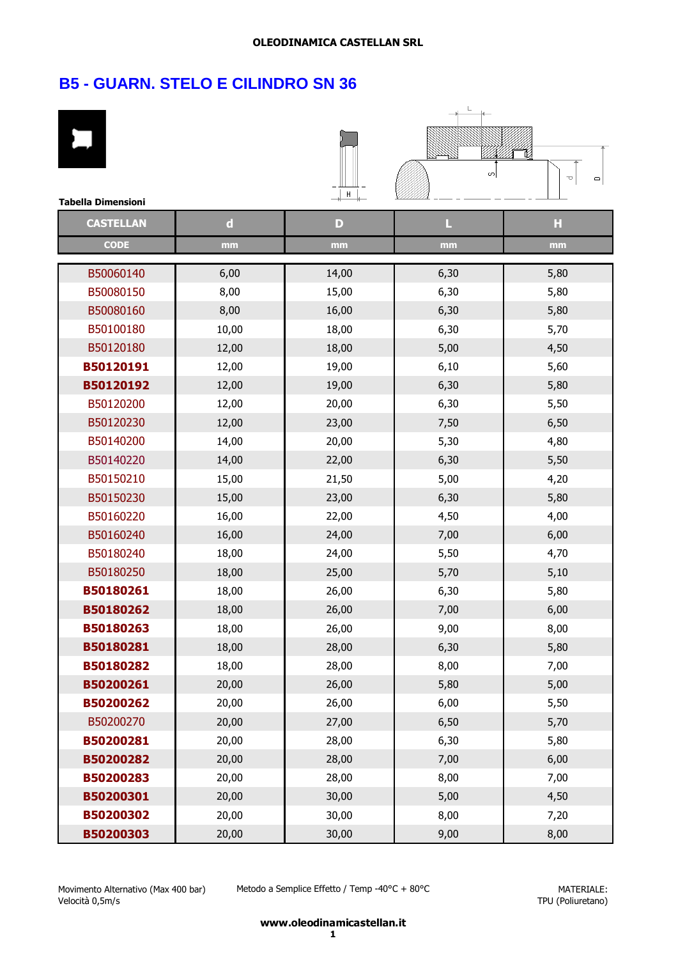$\overline{1}$ 

# **B5 - GUARN. STELO E CILINDRO SN 36**

| <b>Tabella Dimensioni</b> |             | H            | ωļ   | 囵<br>U<br>$\Box$ |
|---------------------------|-------------|--------------|------|------------------|
| <b>CASTELLAN</b>          | $\mathbf d$ | $\mathbf{D}$ | L    | Н                |
| <b>CODE</b>               | mm          | mm           | mm   | mm               |
| B50060140                 | 6,00        | 14,00        | 6,30 | 5,80             |
| B50080150                 | 8,00        | 15,00        | 6,30 | 5,80             |
| B50080160                 | 8,00        | 16,00        | 6,30 | 5,80             |
| B50100180                 | 10,00       | 18,00        | 6,30 | 5,70             |
| B50120180                 | 12,00       | 18,00        | 5,00 | 4,50             |
| B50120191                 | 12,00       | 19,00        | 6,10 | 5,60             |
| B50120192                 | 12,00       | 19,00        | 6,30 | 5,80             |
| B50120200                 | 12,00       | 20,00        | 6,30 | 5,50             |
| B50120230                 | 12,00       | 23,00        | 7,50 | 6,50             |
| B50140200                 | 14,00       | 20,00        | 5,30 | 4,80             |
| B50140220                 | 14,00       | 22,00        | 6,30 | 5,50             |
| B50150210                 | 15,00       | 21,50        | 5,00 | 4,20             |
| B50150230                 | 15,00       | 23,00        | 6,30 | 5,80             |
| B50160220                 | 16,00       | 22,00        | 4,50 | 4,00             |
| B50160240                 | 16,00       | 24,00        | 7,00 | 6,00             |
| B50180240                 | 18,00       | 24,00        | 5,50 | 4,70             |
| B50180250                 | 18,00       | 25,00        | 5,70 | 5,10             |
| B50180261                 | 18,00       | 26,00        | 6,30 | 5,80             |
| B50180262                 | 18,00       | 26,00        | 7,00 | 6,00             |
| B50180263                 | 18,00       | 26,00        | 9,00 | 8,00             |
| B50180281                 | 18,00       | 28,00        | 6,30 | 5,80             |
| B50180282                 | 18,00       | 28,00        | 8,00 | 7,00             |
| B50200261                 | 20,00       | 26,00        | 5,80 | 5,00             |
| B50200262                 | 20,00       | 26,00        | 6,00 | 5,50             |
| B50200270                 | 20,00       | 27,00        | 6,50 | 5,70             |
| B50200281                 | 20,00       | 28,00        | 6,30 | 5,80             |
| B50200282                 | 20,00       | 28,00        | 7,00 | 6,00             |
| B50200283                 | 20,00       | 28,00        | 8,00 | 7,00             |
| B50200301                 | 20,00       | 30,00        | 5,00 | 4,50             |
| B50200302                 | 20,00       | 30,00        | 8,00 | 7,20             |
| B50200303                 | 20,00       | 30,00        | 9,00 | 8,00             |

Metodo a Semplice Effetto / Temp -40°C + 80°C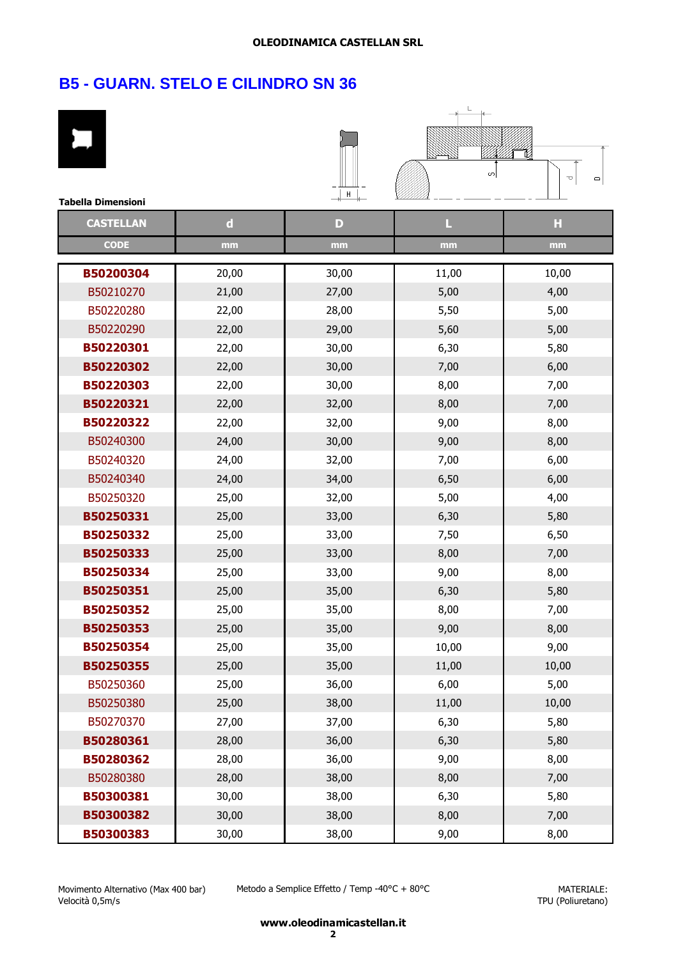| <b>Tabella Dimensioni</b> |             | ⊣⊥ ⊢  | ഗി    | é<br>U<br>$\mathbf{\square}$ |
|---------------------------|-------------|-------|-------|------------------------------|
| <b>CASTELLAN</b>          | $\mathbf d$ | D     | L     | н                            |
| <b>CODE</b>               | mm          | mm    | mm    | mm                           |
| B50200304                 | 20,00       | 30,00 | 11,00 | 10,00                        |
| B50210270                 | 21,00       | 27,00 | 5,00  | 4,00                         |
| B50220280                 | 22,00       | 28,00 | 5,50  | 5,00                         |
| B50220290                 | 22,00       | 29,00 | 5,60  | 5,00                         |
| B50220301                 | 22,00       | 30,00 | 6,30  | 5,80                         |
| B50220302                 | 22,00       | 30,00 | 7,00  | 6,00                         |
| B50220303                 | 22,00       | 30,00 | 8,00  | 7,00                         |
| B50220321                 | 22,00       | 32,00 | 8,00  | 7,00                         |
| B50220322                 | 22,00       | 32,00 | 9,00  | 8,00                         |
| B50240300                 | 24,00       | 30,00 | 9,00  | 8,00                         |
| B50240320                 | 24,00       | 32,00 | 7,00  | 6,00                         |
| B50240340                 | 24,00       | 34,00 | 6,50  | 6,00                         |
| B50250320                 | 25,00       | 32,00 | 5,00  | 4,00                         |
| B50250331                 | 25,00       | 33,00 | 6,30  | 5,80                         |
| B50250332                 | 25,00       | 33,00 | 7,50  | 6,50                         |
| B50250333                 | 25,00       | 33,00 | 8,00  | 7,00                         |
| B50250334                 | 25,00       | 33,00 | 9,00  | 8,00                         |
| B50250351                 | 25,00       | 35,00 | 6,30  | 5,80                         |
| B50250352                 | 25,00       | 35,00 | 8,00  | 7,00                         |
| B50250353                 | 25,00       | 35,00 | 9,00  | 8,00                         |
| B50250354                 | 25,00       | 35,00 | 10,00 | 9,00                         |
| B50250355                 | 25,00       | 35,00 | 11,00 | 10,00                        |
| B50250360                 | 25,00       | 36,00 | 6,00  | 5,00                         |
| B50250380                 | 25,00       | 38,00 | 11,00 | 10,00                        |
| B50270370                 | 27,00       | 37,00 | 6,30  | 5,80                         |
| B50280361                 | 28,00       | 36,00 | 6,30  | 5,80                         |
| B50280362                 | 28,00       | 36,00 | 9,00  | 8,00                         |
| B50280380                 | 28,00       | 38,00 | 8,00  | 7,00                         |
| B50300381                 | 30,00       | 38,00 | 6,30  | 5,80                         |
| B50300382                 | 30,00       | 38,00 | 8,00  | 7,00                         |
| B50300383                 | 30,00       | 38,00 | 9,00  | 8,00                         |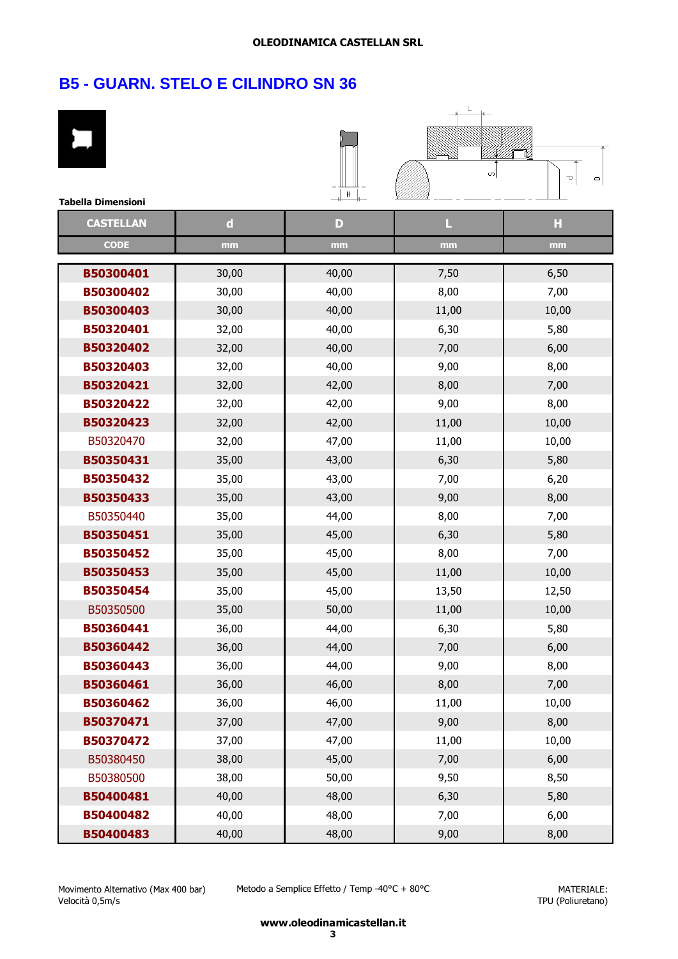| <b>Tabella Dimensioni</b> |             | $+$ $+$ $+$ | S     | é<br>U<br>$\mathbf{\square}$ |
|---------------------------|-------------|-------------|-------|------------------------------|
| <b>CASTELLAN</b>          | $\mathbf d$ | D           | L     | Ы                            |
| <b>CODE</b>               | mm          | mm          | mm    | mm                           |
| B50300401                 | 30,00       | 40,00       | 7,50  | 6,50                         |
| B50300402                 | 30,00       | 40,00       | 8,00  | 7,00                         |
| B50300403                 | 30,00       | 40,00       | 11,00 | 10,00                        |
| B50320401                 | 32,00       | 40,00       | 6,30  | 5,80                         |
| B50320402                 | 32,00       | 40,00       | 7,00  | 6,00                         |
| B50320403                 | 32,00       | 40,00       | 9,00  | 8,00                         |
| B50320421                 | 32,00       | 42,00       | 8,00  | 7,00                         |
| B50320422                 | 32,00       | 42,00       | 9,00  | 8,00                         |
| B50320423                 | 32,00       | 42,00       | 11,00 | 10,00                        |
| B50320470                 | 32,00       | 47,00       | 11,00 | 10,00                        |
| B50350431                 | 35,00       | 43,00       | 6,30  | 5,80                         |
| B50350432                 | 35,00       | 43,00       | 7,00  | 6,20                         |
| B50350433                 | 35,00       | 43,00       | 9,00  | 8,00                         |
| B50350440                 | 35,00       | 44,00       | 8,00  | 7,00                         |
| B50350451                 | 35,00       | 45,00       | 6,30  | 5,80                         |
| B50350452                 | 35,00       | 45,00       | 8,00  | 7,00                         |
| B50350453                 | 35,00       | 45,00       | 11,00 | 10,00                        |
| B50350454                 | 35,00       | 45,00       | 13,50 | 12,50                        |
| B50350500                 | 35,00       | 50,00       | 11,00 | 10,00                        |
| B50360441                 | 36,00       | 44,00       | 6,30  | 5,80                         |
| B50360442                 | 36,00       | 44,00       | 7,00  | 6,00                         |
| B50360443                 | 36,00       | 44,00       | 9,00  | 8,00                         |
| B50360461                 | 36,00       | 46,00       | 8,00  | 7,00                         |
| B50360462                 | 36,00       | 46,00       | 11,00 | 10,00                        |
| B50370471                 | 37,00       | 47,00       | 9,00  | 8,00                         |
| B50370472                 | 37,00       | 47,00       | 11,00 | 10,00                        |
| B50380450                 | 38,00       | 45,00       | 7,00  | 6,00                         |
| B50380500                 | 38,00       | 50,00       | 9,50  | 8,50                         |
| B50400481                 | 40,00       | 48,00       | 6,30  | 5,80                         |
| B50400482                 | 40,00       | 48,00       | 7,00  | 6,00                         |
| B50400483                 | 40,00       | 48,00       | 9,00  | 8,00                         |

Metodo a Semplice Effetto / Temp -40°C + 80°C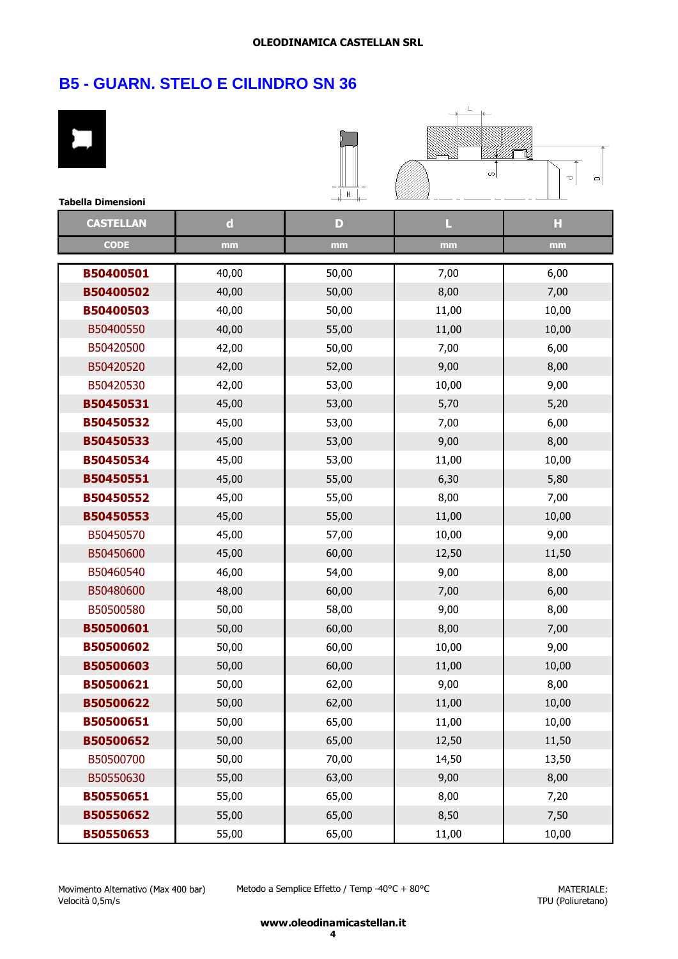| <b>Tabella Dimensioni</b> |             | H     | S     | é<br>U<br>$\mathbf{\square}$ |
|---------------------------|-------------|-------|-------|------------------------------|
| <b>CASTELLAN</b>          | $\mathbf d$ | D     | L     | Ы                            |
| <b>CODE</b>               | mm          | mm    | mm    | mm                           |
| B50400501                 | 40,00       | 50,00 | 7,00  | 6,00                         |
| B50400502                 | 40,00       | 50,00 | 8,00  | 7,00                         |
| B50400503                 | 40,00       | 50,00 | 11,00 | 10,00                        |
| B50400550                 | 40,00       | 55,00 | 11,00 | 10,00                        |
| B50420500                 | 42,00       | 50,00 | 7,00  | 6,00                         |
| B50420520                 | 42,00       | 52,00 | 9,00  | 8,00                         |
| B50420530                 | 42,00       | 53,00 | 10,00 | 9,00                         |
| B50450531                 | 45,00       | 53,00 | 5,70  | 5,20                         |
| B50450532                 | 45,00       | 53,00 | 7,00  | 6,00                         |
| B50450533                 | 45,00       | 53,00 | 9,00  | 8,00                         |
| B50450534                 | 45,00       | 53,00 | 11,00 | 10,00                        |
| B50450551                 | 45,00       | 55,00 | 6,30  | 5,80                         |
| B50450552                 | 45,00       | 55,00 | 8,00  | 7,00                         |
| B50450553                 | 45,00       | 55,00 | 11,00 | 10,00                        |
| B50450570                 | 45,00       | 57,00 | 10,00 | 9,00                         |
| B50450600                 | 45,00       | 60,00 | 12,50 | 11,50                        |
| B50460540                 | 46,00       | 54,00 | 9,00  | 8,00                         |
| B50480600                 | 48,00       | 60,00 | 7,00  | 6,00                         |
| B50500580                 | 50,00       | 58,00 | 9,00  | 8,00                         |
| B50500601                 | 50,00       | 60,00 | 8,00  | 7,00                         |
| B50500602                 | 50,00       | 60,00 | 10,00 | 9,00                         |
| B50500603                 | 50,00       | 60,00 | 11,00 | 10,00                        |
| B50500621                 | 50,00       | 62,00 | 9,00  | 8,00                         |
| B50500622                 | 50,00       | 62,00 | 11,00 | 10,00                        |
| B50500651                 | 50,00       | 65,00 | 11,00 | 10,00                        |
| B50500652                 | 50,00       | 65,00 | 12,50 | 11,50                        |
| B50500700                 | 50,00       | 70,00 | 14,50 | 13,50                        |
| B50550630                 | 55,00       | 63,00 | 9,00  | 8,00                         |
| B50550651                 | 55,00       | 65,00 | 8,00  | 7,20                         |
| B50550652                 | 55,00       | 65,00 | 8,50  | 7,50                         |
| B50550653                 | 55,00       | 65,00 | 11,00 | 10,00                        |

Metodo a Semplice Effetto / Temp -40°C + 80°C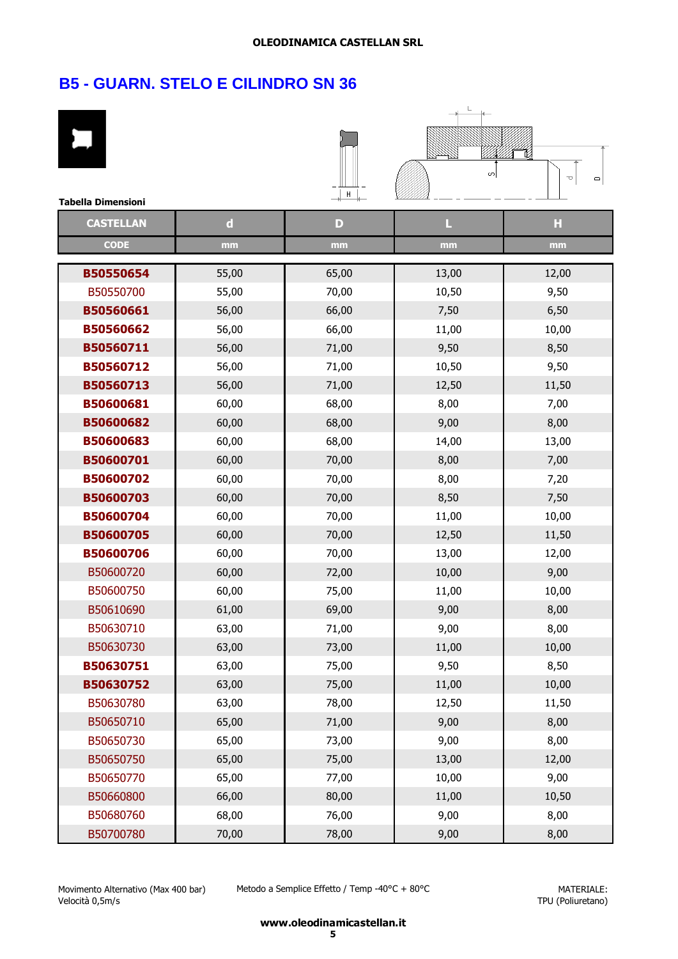| <b>Tabella Dimensioni</b> |             | $H$ <sup>+</sup> | S     | é<br>□<br>$\mathbf{\square}$ |
|---------------------------|-------------|------------------|-------|------------------------------|
| <b>CASTELLAN</b>          | $\mathbf d$ | D                | L     | Ы                            |
| <b>CODE</b>               | mm          | mm               | mm    | mm                           |
| B50550654                 | 55,00       | 65,00            | 13,00 | 12,00                        |
| B50550700                 | 55,00       | 70,00            | 10,50 | 9,50                         |
| B50560661                 | 56,00       | 66,00            | 7,50  | 6,50                         |
| B50560662                 | 56,00       | 66,00            | 11,00 | 10,00                        |
| B50560711                 | 56,00       | 71,00            | 9,50  | 8,50                         |
| B50560712                 | 56,00       | 71,00            | 10,50 | 9,50                         |
| B50560713                 | 56,00       | 71,00            | 12,50 | 11,50                        |
| B50600681                 | 60,00       | 68,00            | 8,00  | 7,00                         |
| B50600682                 | 60,00       | 68,00            | 9,00  | 8,00                         |
| B50600683                 | 60,00       | 68,00            | 14,00 | 13,00                        |
| B50600701                 | 60,00       | 70,00            | 8,00  | 7,00                         |
| B50600702                 | 60,00       | 70,00            | 8,00  | 7,20                         |
| B50600703                 | 60,00       | 70,00            | 8,50  | 7,50                         |
| B50600704                 | 60,00       | 70,00            | 11,00 | 10,00                        |
| B50600705                 | 60,00       | 70,00            | 12,50 | 11,50                        |
| B50600706                 | 60,00       | 70,00            | 13,00 | 12,00                        |
| B50600720                 | 60,00       | 72,00            | 10,00 | 9,00                         |
| B50600750                 | 60,00       | 75,00            | 11,00 | 10,00                        |
| B50610690                 | 61,00       | 69,00            | 9,00  | 8,00                         |
| B50630710                 | 63,00       | 71,00            | 9,00  | 8,00                         |
| B50630730                 | 63,00       | 73,00            | 11,00 | 10,00                        |
| B50630751                 | 63,00       | 75,00            | 9,50  | 8,50                         |
| B50630752                 | 63,00       | 75,00            | 11,00 | 10,00                        |
| B50630780                 | 63,00       | 78,00            | 12,50 | 11,50                        |
| B50650710                 | 65,00       | 71,00            | 9,00  | 8,00                         |
| B50650730                 | 65,00       | 73,00            | 9,00  | 8,00                         |
| B50650750                 | 65,00       | 75,00            | 13,00 | 12,00                        |
| B50650770                 | 65,00       | 77,00            | 10,00 | 9,00                         |
| B50660800                 | 66,00       | 80,00            | 11,00 | 10,50                        |
| B50680760                 | 68,00       | 76,00            | 9,00  | 8,00                         |
| B50700780                 | 70,00       | 78,00            | 9,00  | 8,00                         |

Metodo a Semplice Effetto / Temp -40°C + 80°C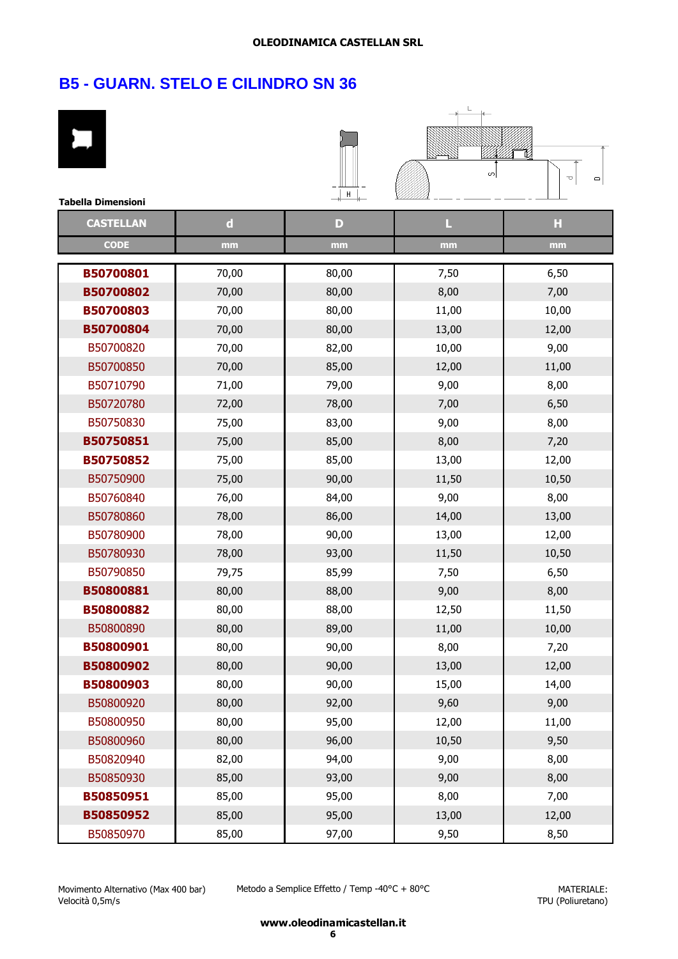| <b>Tabella Dimensioni</b> |             | H     | S     | é<br>U<br>$\mathbf{\square}$ |
|---------------------------|-------------|-------|-------|------------------------------|
| <b>CASTELLAN</b>          | $\mathbf d$ | D     | L     | Ы                            |
| <b>CODE</b>               | mm          | mm    | mm    | mm                           |
| B50700801                 | 70,00       | 80,00 | 7,50  | 6,50                         |
| B50700802                 | 70,00       | 80,00 | 8,00  | 7,00                         |
| B50700803                 | 70,00       | 80,00 | 11,00 | 10,00                        |
| B50700804                 | 70,00       | 80,00 | 13,00 | 12,00                        |
| B50700820                 | 70,00       | 82,00 | 10,00 | 9,00                         |
| B50700850                 | 70,00       | 85,00 | 12,00 | 11,00                        |
| B50710790                 | 71,00       | 79,00 | 9,00  | 8,00                         |
| B50720780                 | 72,00       | 78,00 | 7,00  | 6,50                         |
| B50750830                 | 75,00       | 83,00 | 9,00  | 8,00                         |
| B50750851                 | 75,00       | 85,00 | 8,00  | 7,20                         |
| B50750852                 | 75,00       | 85,00 | 13,00 | 12,00                        |
| B50750900                 | 75,00       | 90,00 | 11,50 | 10,50                        |
| B50760840                 | 76,00       | 84,00 | 9,00  | 8,00                         |
| B50780860                 | 78,00       | 86,00 | 14,00 | 13,00                        |
| B50780900                 | 78,00       | 90,00 | 13,00 | 12,00                        |
| B50780930                 | 78,00       | 93,00 | 11,50 | 10,50                        |
| B50790850                 | 79,75       | 85,99 | 7,50  | 6,50                         |
| B50800881                 | 80,00       | 88,00 | 9,00  | 8,00                         |
| B50800882                 | 80,00       | 88,00 | 12,50 | 11,50                        |
| B50800890                 | 80,00       | 89,00 | 11,00 | 10,00                        |
| B50800901                 | 80,00       | 90,00 | 8,00  | 7,20                         |
| B50800902                 | 80,00       | 90,00 | 13,00 | 12,00                        |
| B50800903                 | 80,00       | 90,00 | 15,00 | 14,00                        |
| B50800920                 | 80,00       | 92,00 | 9,60  | 9,00                         |
| B50800950                 | 80,00       | 95,00 | 12,00 | 11,00                        |
| B50800960                 | 80,00       | 96,00 | 10,50 | 9,50                         |
| B50820940                 | 82,00       | 94,00 | 9,00  | 8,00                         |
| B50850930                 | 85,00       | 93,00 | 9,00  | 8,00                         |
| B50850951                 | 85,00       | 95,00 | 8,00  | 7,00                         |
| B50850952                 | 85,00       | 95,00 | 13,00 | 12,00                        |
| B50850970                 | 85,00       | 97,00 | 9,50  | 8,50                         |

Movimento Alternativo (Max 400 bar) Velocità 0,5m/s

Metodo a Semplice Effetto / Temp -40°C + 80°C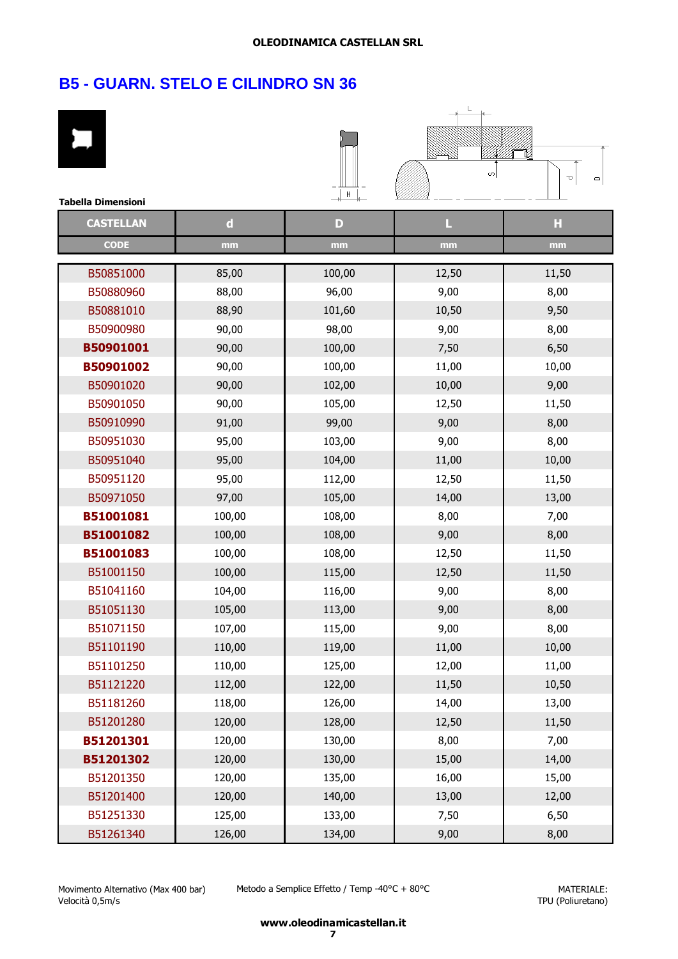| <b>Tabella Dimensioni</b> |             | ╶┧┛┥         | S     | é<br>U<br>$\mathbf{\square}$ |
|---------------------------|-------------|--------------|-------|------------------------------|
| <b>CASTELLAN</b>          | $\mathbf d$ | $\mathbf{D}$ | L     | Ы                            |
| <b>CODE</b>               | mm          | mm           | mm    | mm                           |
| B50851000                 | 85,00       | 100,00       | 12,50 | 11,50                        |
| B50880960                 | 88,00       | 96,00        | 9,00  | 8,00                         |
| B50881010                 | 88,90       | 101,60       | 10,50 | 9,50                         |
| B50900980                 | 90,00       | 98,00        | 9,00  | 8,00                         |
| B50901001                 | 90,00       | 100,00       | 7,50  | 6,50                         |
| B50901002                 | 90,00       | 100,00       | 11,00 | 10,00                        |
| B50901020                 | 90,00       | 102,00       | 10,00 | 9,00                         |
| B50901050                 | 90,00       | 105,00       | 12,50 | 11,50                        |
| B50910990                 | 91,00       | 99,00        | 9,00  | 8,00                         |
| B50951030                 | 95,00       | 103,00       | 9,00  | 8,00                         |
| B50951040                 | 95,00       | 104,00       | 11,00 | 10,00                        |
| B50951120                 | 95,00       | 112,00       | 12,50 | 11,50                        |
| B50971050                 | 97,00       | 105,00       | 14,00 | 13,00                        |
| B51001081                 | 100,00      | 108,00       | 8,00  | 7,00                         |
| B51001082                 | 100,00      | 108,00       | 9,00  | 8,00                         |
| B51001083                 | 100,00      | 108,00       | 12,50 | 11,50                        |
| B51001150                 | 100,00      | 115,00       | 12,50 | 11,50                        |
| B51041160                 | 104,00      | 116,00       | 9,00  | 8,00                         |
| B51051130                 | 105,00      | 113,00       | 9,00  | 8,00                         |
| B51071150                 | 107,00      | 115,00       | 9,00  | 8,00                         |
| B51101190                 | 110,00      | 119,00       | 11,00 | 10,00                        |
| B51101250                 | 110,00      | 125,00       | 12,00 | 11,00                        |
| B51121220                 | 112,00      | 122,00       | 11,50 | 10,50                        |
| B51181260                 | 118,00      | 126,00       | 14,00 | 13,00                        |
| B51201280                 | 120,00      | 128,00       | 12,50 | 11,50                        |
| B51201301                 | 120,00      | 130,00       | 8,00  | 7,00                         |
| B51201302                 | 120,00      | 130,00       | 15,00 | 14,00                        |
| B51201350                 | 120,00      | 135,00       | 16,00 | 15,00                        |
| B51201400                 | 120,00      | 140,00       | 13,00 | 12,00                        |
| B51251330                 | 125,00      | 133,00       | 7,50  | 6,50                         |
| B51261340                 | 126,00      | 134,00       | 9,00  | 8,00                         |

Movimento Alternativo (Max 400 bar) Velocità 0,5m/s

Metodo a Semplice Effetto / Temp -40°C + 80°C